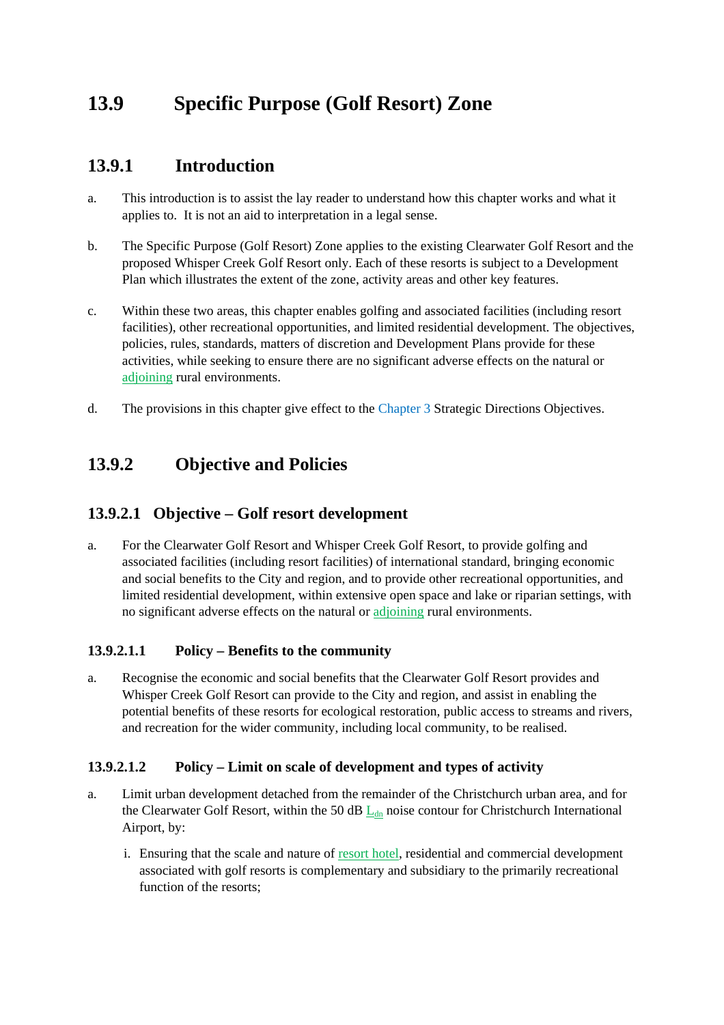# **13.9 Specific Purpose (Golf Resort) Zone**

## **13.9.1 Introduction**

- a. This introduction is to assist the lay reader to understand how this chapter works and what it applies to. It is not an aid to interpretation in a legal sense.
- b. The Specific Purpose (Golf Resort) Zone applies to the existing Clearwater Golf Resort and the proposed Whisper Creek Golf Resort only. Each of these resorts is subject to a Development Plan which illustrates the extent of the zone, activity areas and other key features.
- c. Within these two areas, this chapter enables golfing and associated facilities (including resort facilities), other recreational opportunities, and limited residential development. The objectives, policies, rules, standards, matters of discretion and Development Plans provide for these activities, while seeking to ensure there are no significant adverse effects on the natural or adjoining rural environments.
- d. The provisions in this chapter give effect to the Chapter 3 Strategic Directions Objectives.

## **13.9.2 Objective and Policies**

### **13.9.2.1 Objective – Golf resort development**

a. For the Clearwater Golf Resort and Whisper Creek Golf Resort, to provide golfing and associated facilities (including resort facilities) of international standard, bringing economic and social benefits to the City and region, and to provide other recreational opportunities, and limited residential development, within extensive open space and lake or riparian settings, with no significant adverse effects on the natural or adjoining rural environments.

#### **13.9.2.1.1 Policy – Benefits to the community**

a. Recognise the economic and social benefits that the Clearwater Golf Resort provides and Whisper Creek Golf Resort can provide to the City and region, and assist in enabling the potential benefits of these resorts for ecological restoration, public access to streams and rivers, and recreation for the wider community, including local community, to be realised.

#### **13.9.2.1.2 Policy – Limit on scale of development and types of activity**

- a. Limit urban development detached from the remainder of the Christchurch urban area, and for the Clearwater Golf Resort, within the 50 dB  $L_{dn}$  noise contour for Christchurch International Airport, by:
	- i. Ensuring that the scale and nature of resort hotel, residential and commercial development associated with golf resorts is complementary and subsidiary to the primarily recreational function of the resorts;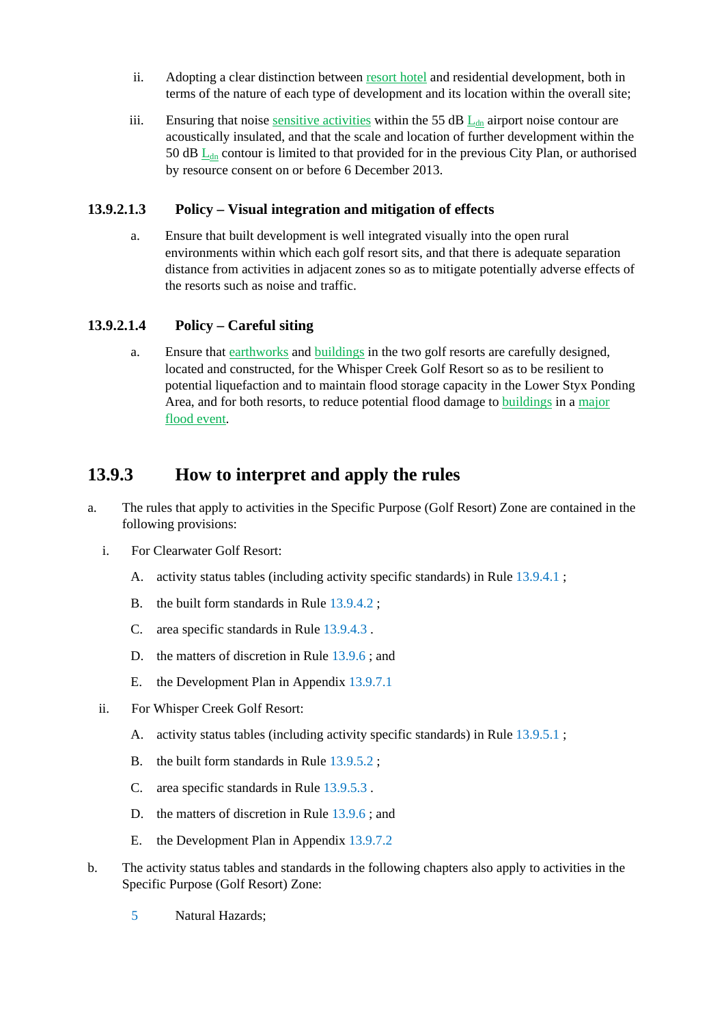- ii. Adopting a clear distinction between resort hotel and residential development, both in terms of the nature of each type of development and its location within the overall site;
- iii. Ensuring that noise sensitive activities within the 55 dB  $L_{dn}$  airport noise contour are acoustically insulated, and that the scale and location of further development within the 50 dB  $L<sub>dn</sub>$  contour is limited to that provided for in the previous City Plan, or authorised by resource consent on or before 6 December 2013.

#### **13.9.2.1.3 Policy – Visual integration and mitigation of effects**

a. Ensure that built development is well integrated visually into the open rural environments within which each golf resort sits, and that there is adequate separation distance from activities in adjacent zones so as to mitigate potentially adverse effects of the resorts such as noise and traffic.

### **13.9.2.1.4 Policy – Careful siting**

a. Ensure that earthworks and buildings in the two golf resorts are carefully designed, located and constructed, for the Whisper Creek Golf Resort so as to be resilient to potential liquefaction and to maintain flood storage capacity in the Lower Styx Ponding Area, and for both resorts, to reduce potential flood damage to buildings in a major flood event.

## **13.9.3 How to interpret and apply the rules**

- a. The rules that apply to activities in the Specific Purpose (Golf Resort) Zone are contained in the following provisions:
	- i. For Clearwater Golf Resort:
		- A. activity status tables (including activity specific standards) in Rule 13.9.4.1 ;
		- B. the built form standards in Rule 13.9.4.2 ;
		- C. area specific standards in Rule 13.9.4.3 .
		- D. the matters of discretion in Rule 13.9.6 ; and
		- E. the Development Plan in Appendix 13.9.7.1
	- ii. For Whisper Creek Golf Resort:
		- A. activity status tables (including activity specific standards) in Rule 13.9.5.1 ;
		- B. the built form standards in Rule 13.9.5.2 ;
		- C. area specific standards in Rule 13.9.5.3 .
		- D. the matters of discretion in Rule 13.9.6; and
		- E. the Development Plan in Appendix 13.9.7.2
- b. The activity status tables and standards in the following chapters also apply to activities in the Specific Purpose (Golf Resort) Zone:
	- 5 Natural Hazards;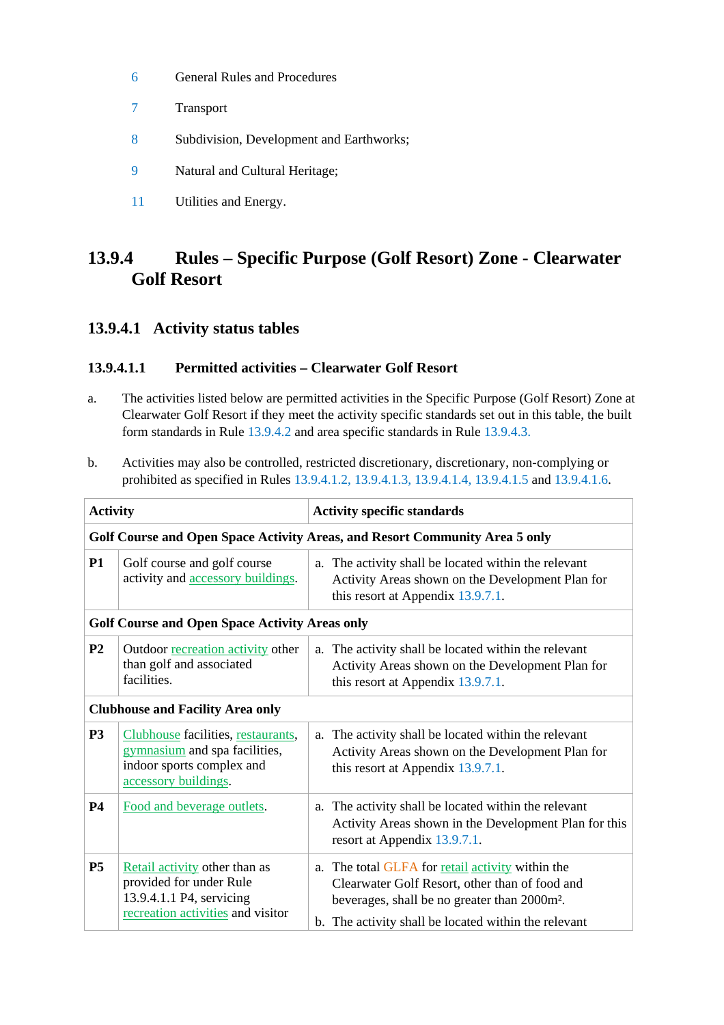- 6 General Rules and Procedures
- 7 Transport
- 8 Subdivision, Development and Earthworks;
- 9 Natural and Cultural Heritage;
- 11 Utilities and Energy.

## **13.9.4 Rules – Specific Purpose (Golf Resort) Zone - Clearwater Golf Resort**

### **13.9.4.1 Activity status tables**

### **13.9.4.1.1 Permitted activities – Clearwater Golf Resort**

- a. The activities listed below are permitted activities in the Specific Purpose (Golf Resort) Zone at Clearwater Golf Resort if they meet the activity specific standards set out in this table, the built form standards in Rule 13.9.4.2 and area specific standards in Rule 13.9.4.3.
- b. Activities may also be controlled, restricted discretionary, discretionary, non-complying or prohibited as specified in Rules 13.9.4.1.2, 13.9.4.1.3, 13.9.4.1.4, 13.9.4.1.5 and 13.9.4.1.6.

| <b>Activity</b>                                                             |                                                                                                                           | <b>Activity specific standards</b>                                                                                                                                                                                     |  |  |
|-----------------------------------------------------------------------------|---------------------------------------------------------------------------------------------------------------------------|------------------------------------------------------------------------------------------------------------------------------------------------------------------------------------------------------------------------|--|--|
| Golf Course and Open Space Activity Areas, and Resort Community Area 5 only |                                                                                                                           |                                                                                                                                                                                                                        |  |  |
| <b>P1</b>                                                                   | Golf course and golf course<br>activity and accessory buildings.                                                          | a. The activity shall be located within the relevant<br>Activity Areas shown on the Development Plan for<br>this resort at Appendix 13.9.7.1.                                                                          |  |  |
|                                                                             | <b>Golf Course and Open Space Activity Areas only</b>                                                                     |                                                                                                                                                                                                                        |  |  |
| P <sub>2</sub>                                                              | Outdoor recreation activity other<br>than golf and associated<br>facilities.                                              | a. The activity shall be located within the relevant<br>Activity Areas shown on the Development Plan for<br>this resort at Appendix 13.9.7.1.                                                                          |  |  |
| <b>Clubhouse and Facility Area only</b>                                     |                                                                                                                           |                                                                                                                                                                                                                        |  |  |
| P <sub>3</sub>                                                              | Clubhouse facilities, restaurants,<br>gymnasium and spa facilities,<br>indoor sports complex and<br>accessory buildings.  | a. The activity shall be located within the relevant<br>Activity Areas shown on the Development Plan for<br>this resort at Appendix 13.9.7.1.                                                                          |  |  |
| <b>P4</b>                                                                   | Food and beverage outlets.                                                                                                | The activity shall be located within the relevant<br>a.<br>Activity Areas shown in the Development Plan for this<br>resort at Appendix 13.9.7.1.                                                                       |  |  |
| P <sub>5</sub>                                                              | Retail activity other than as<br>provided for under Rule<br>13.9.4.1.1 P4, servicing<br>recreation activities and visitor | a. The total GLFA for retail activity within the<br>Clearwater Golf Resort, other than of food and<br>beverages, shall be no greater than 2000m <sup>2</sup> .<br>b. The activity shall be located within the relevant |  |  |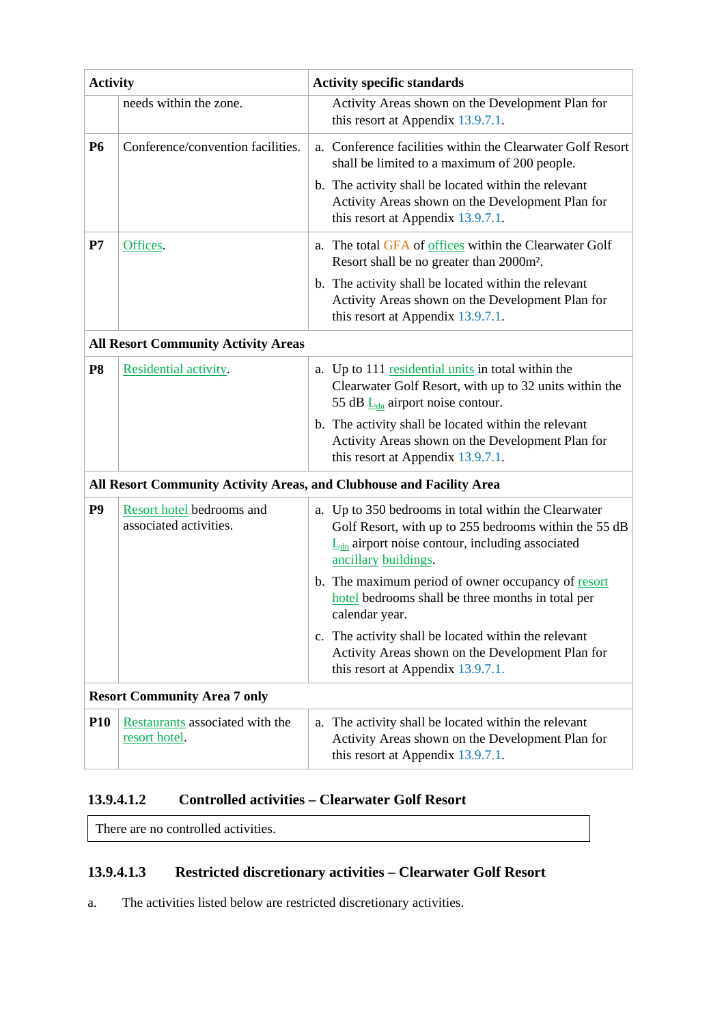| <b>Activity</b> |                                                     | <b>Activity specific standards</b>                                                                                                                                                                        |  |  |
|-----------------|-----------------------------------------------------|-----------------------------------------------------------------------------------------------------------------------------------------------------------------------------------------------------------|--|--|
|                 | needs within the zone.                              | Activity Areas shown on the Development Plan for<br>this resort at Appendix 13.9.7.1.                                                                                                                     |  |  |
| <b>P6</b>       | Conference/convention facilities.                   | a. Conference facilities within the Clearwater Golf Resort<br>shall be limited to a maximum of 200 people.                                                                                                |  |  |
|                 |                                                     | b. The activity shall be located within the relevant<br>Activity Areas shown on the Development Plan for<br>this resort at Appendix 13.9.7.1.                                                             |  |  |
| P7              | Offices.                                            | a. The total GFA of offices within the Clearwater Golf<br>Resort shall be no greater than 2000m <sup>2</sup> .                                                                                            |  |  |
|                 |                                                     | b. The activity shall be located within the relevant<br>Activity Areas shown on the Development Plan for<br>this resort at Appendix 13.9.7.1.                                                             |  |  |
|                 | <b>All Resort Community Activity Areas</b>          |                                                                                                                                                                                                           |  |  |
| <b>P8</b>       | Residential activity.                               | a. Up to 111 residential units in total within the<br>Clearwater Golf Resort, with up to 32 units within the<br>55 dB $L_{dn}$ airport noise contour.                                                     |  |  |
|                 |                                                     | b. The activity shall be located within the relevant<br>Activity Areas shown on the Development Plan for<br>this resort at Appendix 13.9.7.1.                                                             |  |  |
|                 |                                                     | All Resort Community Activity Areas, and Clubhouse and Facility Area                                                                                                                                      |  |  |
| P <sub>9</sub>  | Resort hotel bedrooms and<br>associated activities. | a. Up to 350 bedrooms in total within the Clearwater<br>Golf Resort, with up to 255 bedrooms within the 55 dB<br>$\underline{L}_{dn}$ airport noise contour, including associated<br>ancillary buildings. |  |  |
|                 |                                                     | b. The maximum period of owner occupancy of resort<br>hotel bedrooms shall be three months in total per<br>calendar year.                                                                                 |  |  |
|                 |                                                     | c. The activity shall be located within the relevant<br>Activity Areas shown on the Development Plan for<br>this resort at Appendix 13.9.7.1.                                                             |  |  |
|                 | <b>Resort Community Area 7 only</b>                 |                                                                                                                                                                                                           |  |  |
| <b>P10</b>      | Restaurants associated with the<br>resort hotel.    | a. The activity shall be located within the relevant<br>Activity Areas shown on the Development Plan for<br>this resort at Appendix 13.9.7.1.                                                             |  |  |

### **13.9.4.1.2 Controlled activities – Clearwater Golf Resort**

There are no controlled activities.

### **13.9.4.1.3 Restricted discretionary activities – Clearwater Golf Resort**

a. The activities listed below are restricted discretionary activities.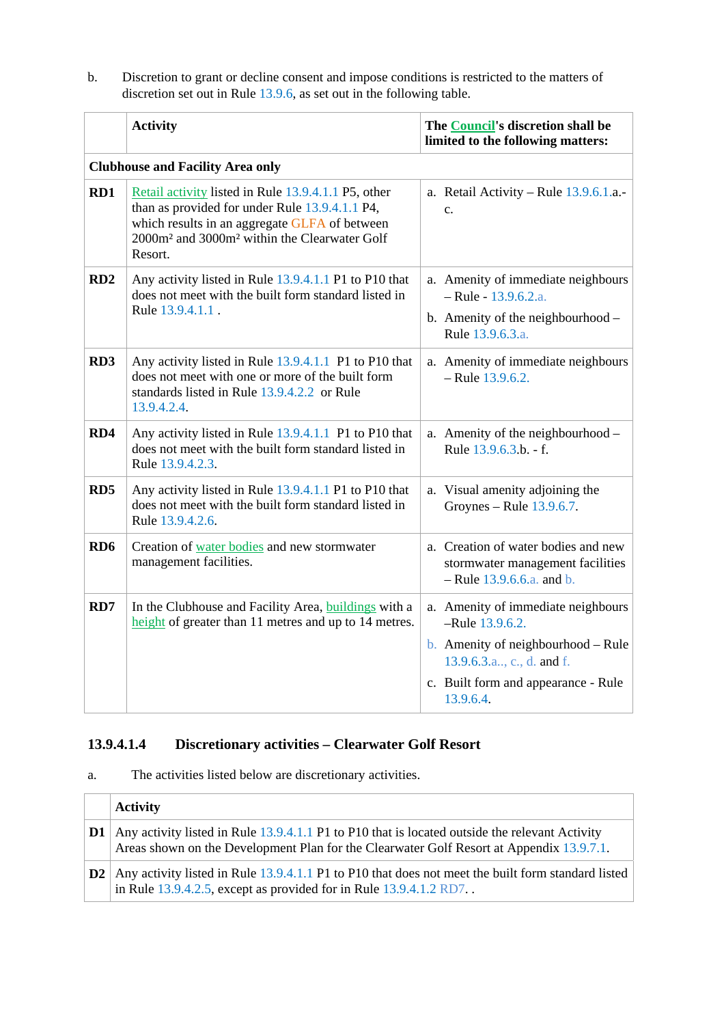b. Discretion to grant or decline consent and impose conditions is restricted to the matters of discretion set out in Rule 13.9.6, as set out in the following table.

|                 | <b>Activity</b>                                                                                                                                                                                                                           | The Council's discretion shall be<br>limited to the following matters:                                                |
|-----------------|-------------------------------------------------------------------------------------------------------------------------------------------------------------------------------------------------------------------------------------------|-----------------------------------------------------------------------------------------------------------------------|
|                 | <b>Clubhouse and Facility Area only</b>                                                                                                                                                                                                   |                                                                                                                       |
| RD1             | Retail activity listed in Rule 13.9.4.1.1 P5, other<br>than as provided for under Rule 13.9.4.1.1 P4,<br>which results in an aggregate GLFA of between<br>2000m <sup>2</sup> and 3000m <sup>2</sup> within the Clearwater Golf<br>Resort. | a. Retail Activity – Rule $13.9.6.1.a.$<br>$\mathbf{c}$ .                                                             |
| RD2             | Any activity listed in Rule 13.9.4.1.1 P1 to P10 that<br>does not meet with the built form standard listed in<br>Rule 13.9.4.1.1.                                                                                                         | a. Amenity of immediate neighbours<br>$-$ Rule - 13.9.6.2.a.<br>b. Amenity of the neighbourhood -<br>Rule 13.9.6.3.a. |
| RD <sub>3</sub> | Any activity listed in Rule 13.9.4.1.1 P1 to P10 that<br>does not meet with one or more of the built form<br>standards listed in Rule 13.9.4.2.2 or Rule<br>13.9.4.2.4.                                                                   | a. Amenity of immediate neighbours<br>$-$ Rule 13.9.6.2.                                                              |
| RD4             | Any activity listed in Rule 13.9.4.1.1 P1 to P10 that<br>does not meet with the built form standard listed in<br>Rule 13.9.4.2.3.                                                                                                         | a. Amenity of the neighbourhood -<br>Rule 13.9.6.3.b. - f.                                                            |
| RD <sub>5</sub> | Any activity listed in Rule 13.9.4.1.1 P1 to P10 that<br>does not meet with the built form standard listed in<br>Rule 13.9.4.2.6.                                                                                                         | a. Visual amenity adjoining the<br>Groynes – Rule $13.9.6.7$ .                                                        |
| RD <sub>6</sub> | Creation of water bodies and new stormwater<br>management facilities.                                                                                                                                                                     | a. Creation of water bodies and new<br>stormwater management facilities<br>$-$ Rule 13.9.6.6.a. and b.                |
| RD7             | In the Clubhouse and Facility Area, buildings with a<br>height of greater than 11 metres and up to 14 metres.                                                                                                                             | a. Amenity of immediate neighbours<br>-Rule 13.9.6.2.                                                                 |
|                 |                                                                                                                                                                                                                                           | <b>b.</b> Amenity of neighbourhood – Rule<br>13.9.6.3.a., c., d. and f.                                               |
|                 |                                                                                                                                                                                                                                           | c. Built form and appearance - Rule<br>13.9.6.4.                                                                      |

## **13.9.4.1.4 Discretionary activities – Clearwater Golf Resort**

a. The activities listed below are discretionary activities.

|               | <b>Activity</b>                                                                                                                                                                            |
|---------------|--------------------------------------------------------------------------------------------------------------------------------------------------------------------------------------------|
| $\mathbf{D1}$ | Any activity listed in Rule 13.9.4.1.1 P1 to P10 that is located outside the relevant Activity<br>Areas shown on the Development Plan for the Clearwater Golf Resort at Appendix 13.9.7.1. |
|               | $\vert$ D2   Any activity listed in Rule 13.9.4.1.1 P1 to P10 that does not meet the built form standard listed<br>in Rule $13.9.4.2.5$ , except as provided for in Rule $13.9.4.1.2$ RD7  |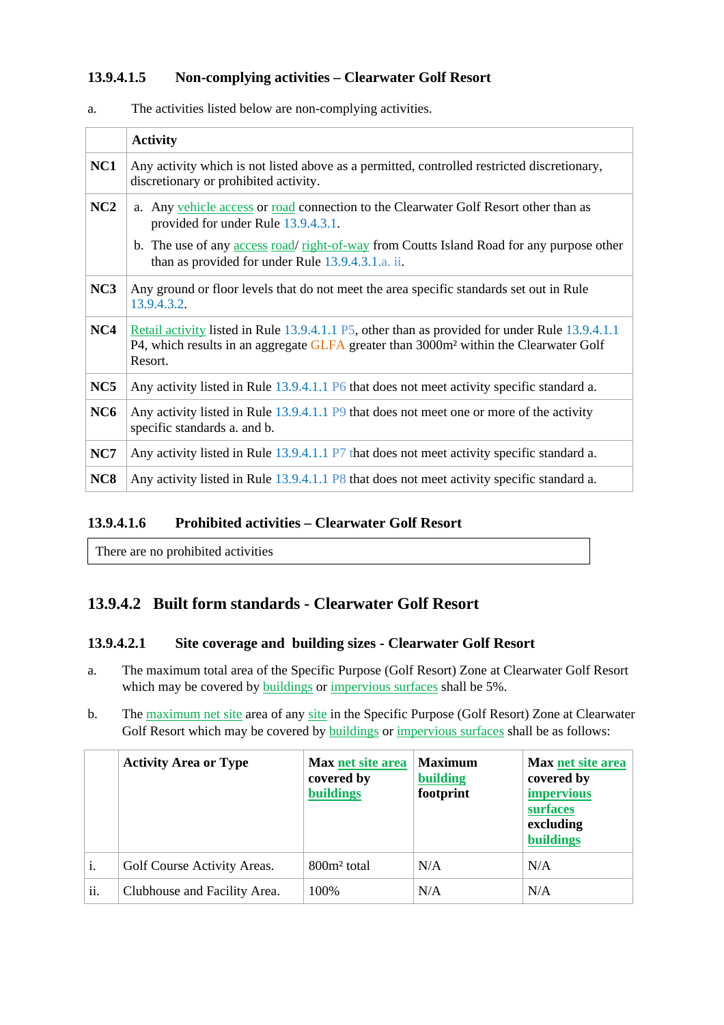#### **13.9.4.1.5 Non-complying activities – Clearwater Golf Resort**

|                 | <b>Activity</b>                                                                                                                                                                                                |
|-----------------|----------------------------------------------------------------------------------------------------------------------------------------------------------------------------------------------------------------|
| NC1             | Any activity which is not listed above as a permitted, controlled restricted discretionary,<br>discretionary or prohibited activity.                                                                           |
| NC2             | a. Any vehicle access or road connection to the Clearwater Golf Resort other than as<br>provided for under Rule 13.9.4.3.1.                                                                                    |
|                 | b. The use of any access road/ right-of-way from Coutts Island Road for any purpose other<br>than as provided for under Rule 13.9.4.3.1.a. ii.                                                                 |
| NC3             | Any ground or floor levels that do not meet the area specific standards set out in Rule<br>13.9.4.3.2.                                                                                                         |
| NC4             | Retail activity listed in Rule 13.9.4.1.1 P5, other than as provided for under Rule 13.9.4.1.1<br>P4, which results in an aggregate GLFA greater than 3000m <sup>2</sup> within the Clearwater Golf<br>Resort. |
| NC5             | Any activity listed in Rule 13.9.4.1.1 P6 that does not meet activity specific standard a.                                                                                                                     |
| NC <sub>6</sub> | Any activity listed in Rule 13.9.4.1.1 P9 that does not meet one or more of the activity<br>specific standards a. and b.                                                                                       |
| NC7             | Any activity listed in Rule 13.9.4.1.1 P7 that does not meet activity specific standard a.                                                                                                                     |
| NC <sub>8</sub> | Any activity listed in Rule 13.9.4.1.1 P8 that does not meet activity specific standard a.                                                                                                                     |

a. The activities listed below are non-complying activities.

#### **13.9.4.1.6 Prohibited activities – Clearwater Golf Resort**

There are no prohibited activities

### **13.9.4.2 Built form standards - Clearwater Golf Resort**

#### **13.9.4.2.1 Site coverage and building sizes - Clearwater Golf Resort**

- a. The maximum total area of the Specific Purpose (Golf Resort) Zone at Clearwater Golf Resort which may be covered by buildings or impervious surfaces shall be 5%.
- b. The maximum net site area of any site in the Specific Purpose (Golf Resort) Zone at Clearwater Golf Resort which may be covered by buildings or impervious surfaces shall be as follows:

|     | <b>Activity Area or Type</b> | Max net site area<br>covered by<br><b>buildings</b> | <b>Maximum</b><br>building<br>footprint | <b>Max net site area</b><br>covered by<br><i>impervious</i><br>surfaces<br>excluding<br><b>buildings</b> |
|-----|------------------------------|-----------------------------------------------------|-----------------------------------------|----------------------------------------------------------------------------------------------------------|
| i.  | Golf Course Activity Areas.  | 800m <sup>2</sup> total                             | N/A                                     | N/A                                                                                                      |
| ii. | Clubhouse and Facility Area. | 100\%                                               | N/A                                     | N/A                                                                                                      |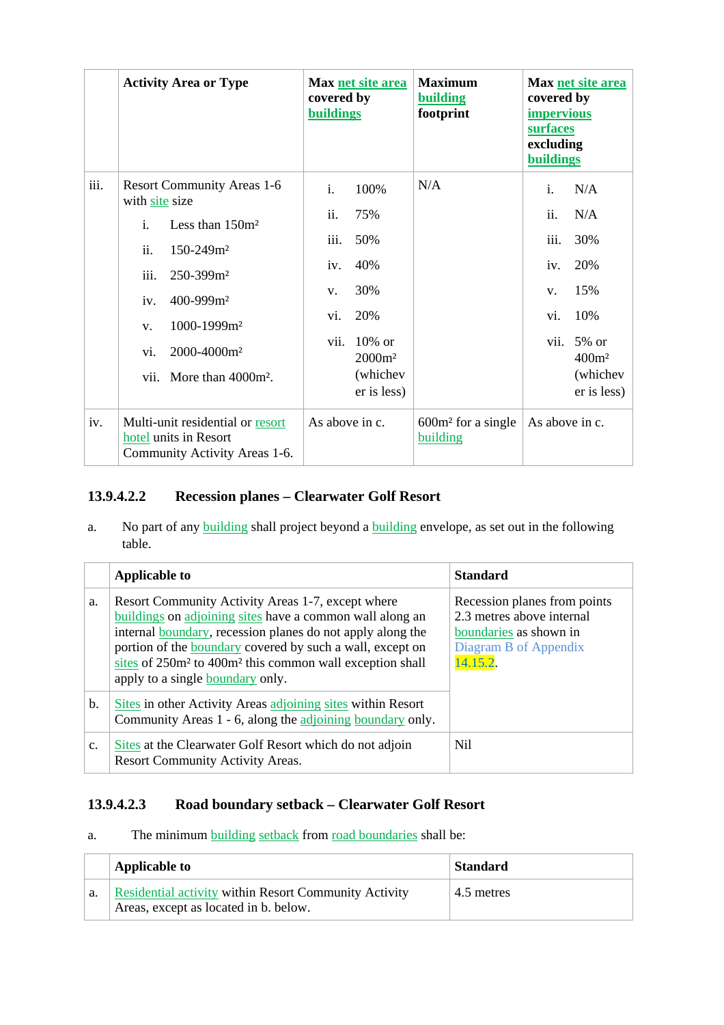|      | <b>Activity Area or Type</b>                                                                                                                                                                                                                                                                            | Max net site area<br>covered by<br><b>buildings</b>                                                                                                       | <b>Maximum</b><br>building<br>footprint | Max net site area<br>covered by<br><i>impervious</i><br>surfaces<br>excluding<br><b>buildings</b>                                                              |
|------|---------------------------------------------------------------------------------------------------------------------------------------------------------------------------------------------------------------------------------------------------------------------------------------------------------|-----------------------------------------------------------------------------------------------------------------------------------------------------------|-----------------------------------------|----------------------------------------------------------------------------------------------------------------------------------------------------------------|
| iii. | <b>Resort Community Areas 1-6</b><br>with site size<br>$\mathbf{i}$ .<br>Less than $150m^2$<br>ii.<br>$150 - 249$ $m2$<br>iii.<br>250-399m <sup>2</sup><br>400-999m <sup>2</sup><br>iv.<br>1000-1999m <sup>2</sup><br>V <sub>1</sub><br>2000-4000m <sup>2</sup><br>vi.<br>vii.<br>More than $4000m^2$ . | $\mathbf{i}$ .<br>100%<br>ii.<br>75%<br>iii.<br>50%<br>40%<br>iv.<br>30%<br>V.<br>20%<br>vi.<br>vii.<br>$10\%$ or<br>$2000m^2$<br>(whichev<br>er is less) | N/A                                     | $\mathbf{i}$ .<br>N/A<br>ii.<br>N/A<br>iii.<br>30%<br>20%<br>iv.<br>15%<br>V.<br>10%<br>vi.<br>vii. $5\%$ or<br>$400m$ <sup>2</sup><br>(whichev<br>er is less) |
| iv.  | Multi-unit residential or resort<br>hotel units in Resort<br>Community Activity Areas 1-6.                                                                                                                                                                                                              | As above in c.                                                                                                                                            | $600m2$ for a single<br>building        | As above in c.                                                                                                                                                 |

### **13.9.4.2.2 Recession planes – Clearwater Golf Resort**

a. No part of any building shall project beyond a building envelope, as set out in the following table.

|                | <b>Applicable to</b>                                                                                                                                                                                                                                                                                                                                             | <b>Standard</b>                                                                                                         |
|----------------|------------------------------------------------------------------------------------------------------------------------------------------------------------------------------------------------------------------------------------------------------------------------------------------------------------------------------------------------------------------|-------------------------------------------------------------------------------------------------------------------------|
| a.             | Resort Community Activity Areas 1-7, except where<br>buildings on adjoining sites have a common wall along an<br>internal boundary, recession planes do not apply along the<br>portion of the boundary covered by such a wall, except on<br>sites of 250m <sup>2</sup> to 400m <sup>2</sup> this common wall exception shall<br>apply to a single boundary only. | Recession planes from points<br>2.3 metres above internal<br>boundaries as shown in<br>Diagram B of Appendix<br>14.15.2 |
| b.             | Sites in other Activity Areas adjoining sites within Resort<br>Community Areas 1 - 6, along the adjoining boundary only.                                                                                                                                                                                                                                         |                                                                                                                         |
| C <sub>1</sub> | Sites at the Clearwater Golf Resort which do not adjoin<br><b>Resort Community Activity Areas.</b>                                                                                                                                                                                                                                                               | Nil                                                                                                                     |

#### **13.9.4.2.3 Road boundary setback – Clearwater Golf Resort**

a. The minimum building setback from road boundaries shall be:

|    | <b>Applicable to</b>                                                                                  | <b>Standard</b> |
|----|-------------------------------------------------------------------------------------------------------|-----------------|
| a. | <b>Residential activity within Resort Community Activity</b><br>Areas, except as located in b. below. | 4.5 metres      |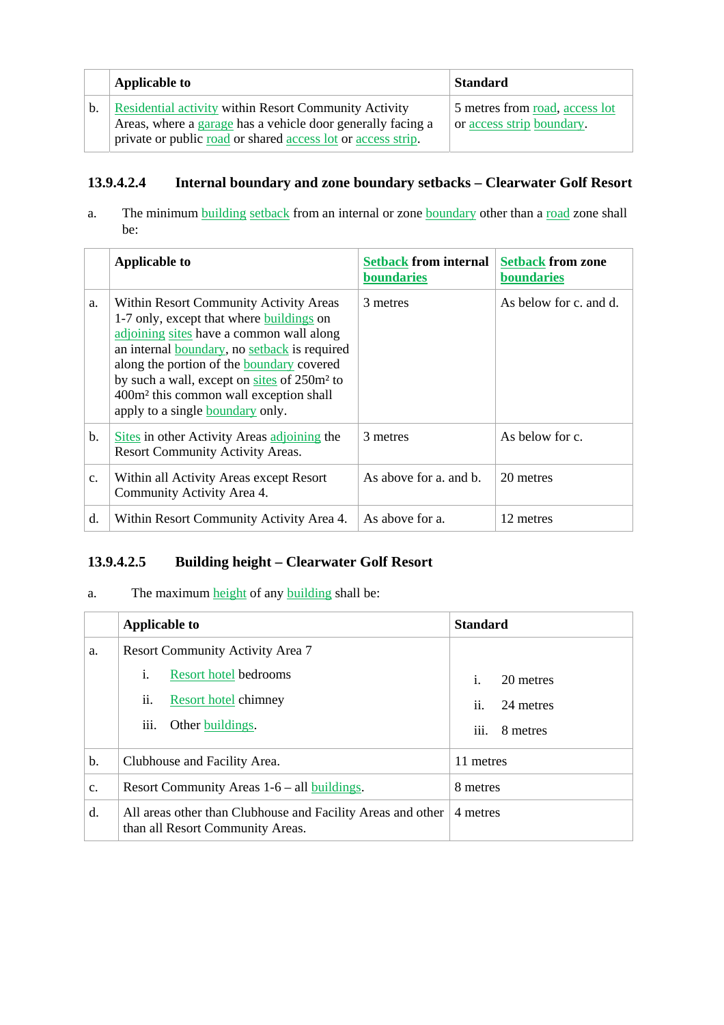|    | <b>Applicable to</b>                                         | <b>Standard</b>                |
|----|--------------------------------------------------------------|--------------------------------|
| b. | Residential activity within Resort Community Activity        | 5 metres from road, access lot |
|    | Areas, where a garage has a vehicle door generally facing a  | or access strip boundary.      |
|    | private or public road or shared access lot or access strip. |                                |

### **13.9.4.2.4 Internal boundary and zone boundary setbacks – Clearwater Golf Resort**

a. The minimum building setback from an internal or zone boundary other than a road zone shall be:

|                | <b>Applicable to</b>                                                                                                                                                                                                                                                                                                                                                                    | <b>Setback from internal</b><br>boundaries | <b>Setback from zone</b><br>boundaries |
|----------------|-----------------------------------------------------------------------------------------------------------------------------------------------------------------------------------------------------------------------------------------------------------------------------------------------------------------------------------------------------------------------------------------|--------------------------------------------|----------------------------------------|
| a.             | Within Resort Community Activity Areas<br>1-7 only, except that where buildings on<br>adjoining sites have a common wall along<br>an internal boundary, no setback is required<br>along the portion of the <b>boundary</b> covered<br>by such a wall, except on sites of 250m <sup>2</sup> to<br>400m <sup>2</sup> this common wall exception shall<br>apply to a single boundary only. | 3 metres                                   | As below for c. and d.                 |
| b.             | Sites in other Activity Areas adjoining the<br>Resort Community Activity Areas.                                                                                                                                                                                                                                                                                                         | 3 metres                                   | As below for c.                        |
| C <sub>1</sub> | Within all Activity Areas except Resort<br>Community Activity Area 4.                                                                                                                                                                                                                                                                                                                   | As above for a, and b.                     | 20 metres                              |
| d.             | Within Resort Community Activity Area 4.                                                                                                                                                                                                                                                                                                                                                | As above for a.                            | 12 metres                              |

### **13.9.4.2.5 Building height – Clearwater Golf Resort**

### a. The maximum height of any building shall be:

|    | <b>Applicable to</b>                                                                            | <b>Standard</b>  |
|----|-------------------------------------------------------------------------------------------------|------------------|
| a. | <b>Resort Community Activity Area 7</b>                                                         |                  |
|    | i.<br><b>Resort hotel bedrooms</b>                                                              | i.<br>20 metres  |
|    | ii.<br>Resort hotel chimney                                                                     | ii.<br>24 metres |
|    | Other buildings.<br>111.                                                                        | iii.<br>8 metres |
| b. | Clubhouse and Facility Area.                                                                    | 11 metres        |
| c. | Resort Community Areas $1-6$ – all buildings.                                                   | 8 metres         |
| d. | All areas other than Clubhouse and Facility Areas and other<br>than all Resort Community Areas. | 4 metres         |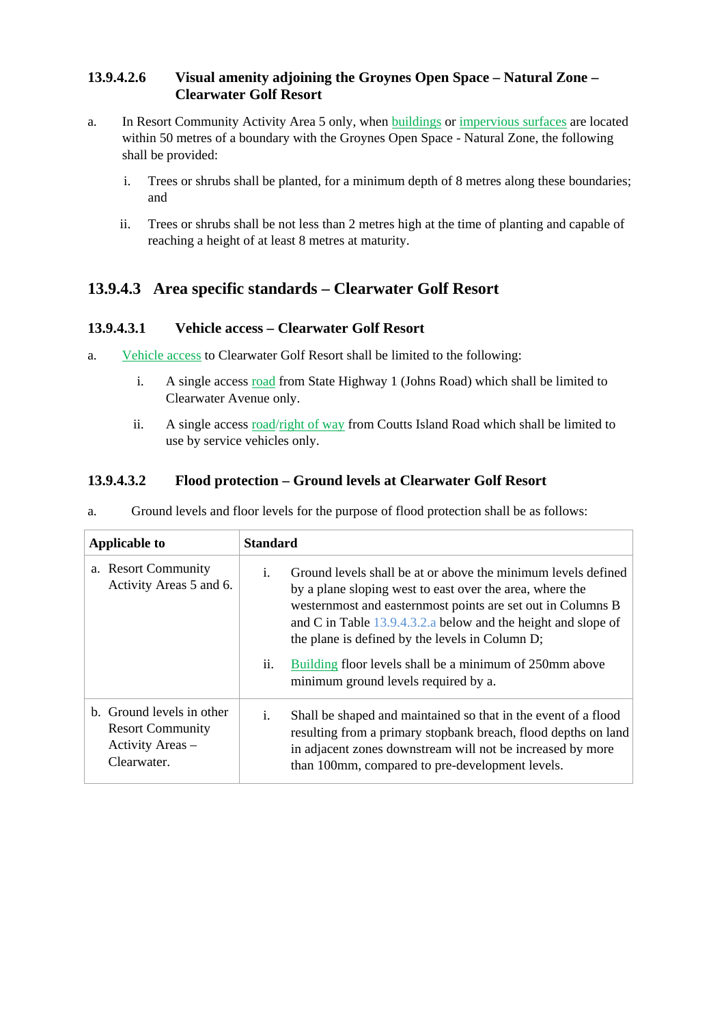#### **13.9.4.2.6 Visual amenity adjoining the Groynes Open Space – Natural Zone – Clearwater Golf Resort**

- a. In Resort Community Activity Area 5 only, when buildings or impervious surfaces are located within 50 metres of a boundary with the Groynes Open Space - Natural Zone, the following shall be provided:
	- i. Trees or shrubs shall be planted, for a minimum depth of 8 metres along these boundaries; and
	- ii. Trees or shrubs shall be not less than 2 metres high at the time of planting and capable of reaching a height of at least 8 metres at maturity.

### **13.9.4.3 Area specific standards – Clearwater Golf Resort**

#### **13.9.4.3.1 Vehicle access – Clearwater Golf Resort**

- a. Vehicle access to Clearwater Golf Resort shall be limited to the following:
	- i. A single access road from State Highway 1 (Johns Road) which shall be limited to Clearwater Avenue only.
	- ii. A single access road/right of way from Coutts Island Road which shall be limited to use by service vehicles only.

### **13.9.4.3.2 Flood protection – Ground levels at Clearwater Golf Resort**

| <b>Applicable to</b>                                                                    | <b>Standard</b>                                                                                                                                                                                                                                                                                                      |  |
|-----------------------------------------------------------------------------------------|----------------------------------------------------------------------------------------------------------------------------------------------------------------------------------------------------------------------------------------------------------------------------------------------------------------------|--|
| a. Resort Community<br>Activity Areas 5 and 6.                                          | Ground levels shall be at or above the minimum levels defined<br>i.<br>by a plane sloping west to east over the area, where the<br>westernmost and easternmost points are set out in Columns B<br>and C in Table $13.9.4.3.2.a$ below and the height and slope of<br>the plane is defined by the levels in Column D; |  |
|                                                                                         | Building floor levels shall be a minimum of 250mm above<br>11.<br>minimum ground levels required by a.                                                                                                                                                                                                               |  |
| b. Ground levels in other<br><b>Resort Community</b><br>Activity Areas -<br>Clearwater. | Shall be shaped and maintained so that in the event of a flood<br>i.<br>resulting from a primary stopbank breach, flood depths on land<br>in adjacent zones downstream will not be increased by more<br>than 100mm, compared to pre-development levels.                                                              |  |

a. Ground levels and floor levels for the purpose of flood protection shall be as follows: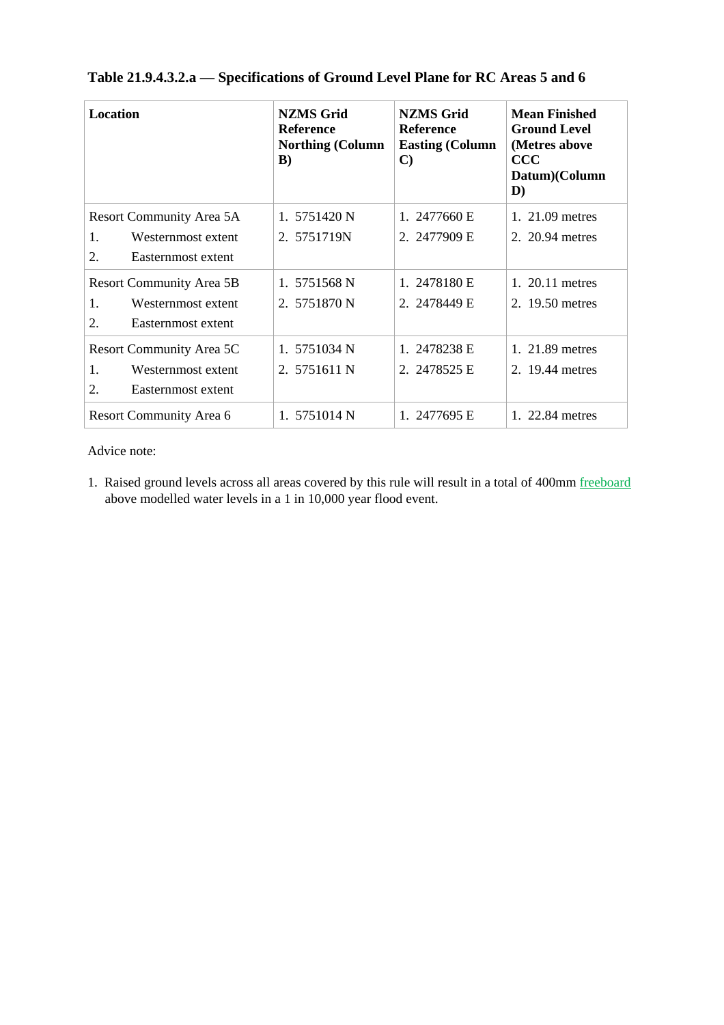| Location                               | <b>NZMS Grid</b><br><b>Reference</b><br><b>Northing (Column</b><br>B) | <b>NZMS Grid</b><br><b>Reference</b><br><b>Easting (Column</b><br>$\mathbf{C}$ | <b>Mean Finished</b><br><b>Ground Level</b><br>(Metres above<br>$\rm{CCC}$<br>Datum)(Column<br>D) |
|----------------------------------------|-----------------------------------------------------------------------|--------------------------------------------------------------------------------|---------------------------------------------------------------------------------------------------|
| Resort Community Area 5A               | 1. 5751420 N                                                          | 1. $2477660 E$                                                                 | 1. 21.09 metres                                                                                   |
| 1.<br>Westernmost extent               | 2. 5751719N                                                           | 2. 2477909 E                                                                   | 2. 20.94 metres                                                                                   |
| 2.<br>Easternmost extent               |                                                                       |                                                                                |                                                                                                   |
| <b>Resort Community Area 5B</b>        | 1. 5751568 N                                                          | 1. 2478180 E                                                                   | 1. 20.11 metres                                                                                   |
| Westernmost extent<br>1.               | 2. 5751870 N                                                          | 2. 2478449 E                                                                   | 2. 19.50 metres                                                                                   |
| $\overline{2}$ .<br>Easternmost extent |                                                                       |                                                                                |                                                                                                   |
| Resort Community Area 5C               | 1. 5751034 N                                                          | 1. 2478238 E                                                                   | 1. 21.89 metres                                                                                   |
| 1.<br>Westernmost extent               | 2. 5751611 N                                                          | 2. 2478525 E                                                                   | 2. 19.44 metres                                                                                   |
| 2.<br>Easternmost extent               |                                                                       |                                                                                |                                                                                                   |
| Resort Community Area 6                | 1. 5751014 N                                                          | 1. 2477695 E                                                                   | 1. 22.84 metres                                                                                   |

## **Table 21.9.4.3.2.a — Specifications of Ground Level Plane for RC Areas 5 and 6**

Advice note:

1. Raised ground levels across all areas covered by this rule will result in a total of 400mm freeboard above modelled water levels in a 1 in 10,000 year flood event.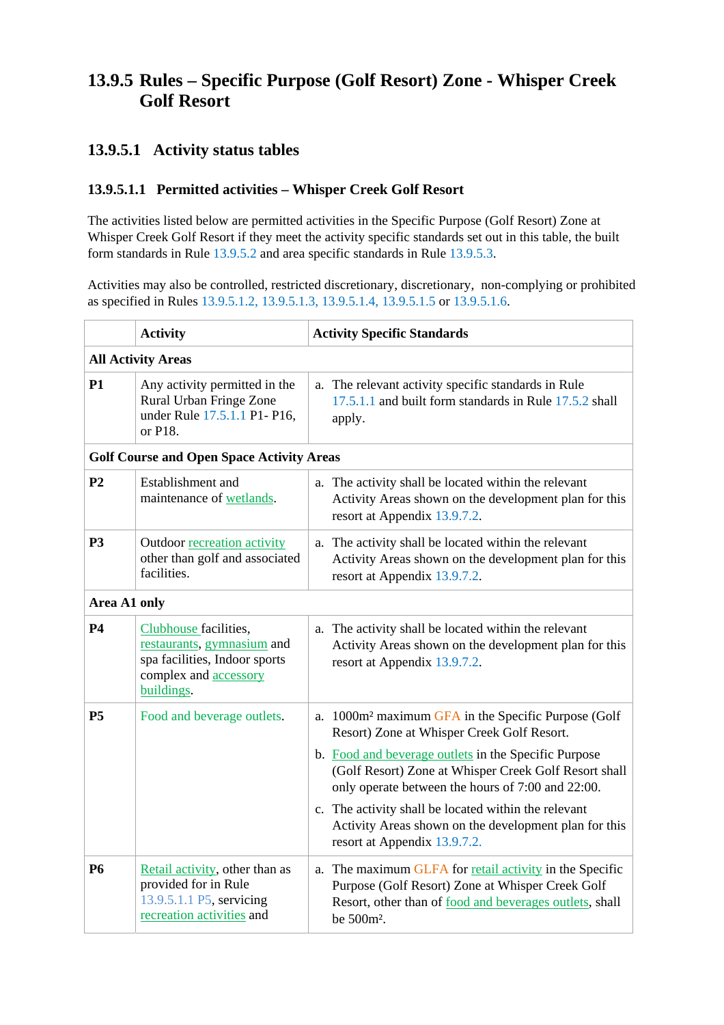## **13.9.5 Rules – Specific Purpose (Golf Resort) Zone - Whisper Creek Golf Resort**

### **13.9.5.1 Activity status tables**

#### **13.9.5.1.1 Permitted activities – Whisper Creek Golf Resort**

The activities listed below are permitted activities in the Specific Purpose (Golf Resort) Zone at Whisper Creek Golf Resort if they meet the activity specific standards set out in this table, the built form standards in Rule 13.9.5.2 and area specific standards in Rule 13.9.5.3.

Activities may also be controlled, restricted discretionary, discretionary, non-complying or prohibited as specified in Rules 13.9.5.1.2, 13.9.5.1.3, 13.9.5.1.4, 13.9.5.1.5 or 13.9.5.1.6.

|                | <b>Activity</b>                                                                                                                    | <b>Activity Specific Standards</b>                                                                                                                                                               |
|----------------|------------------------------------------------------------------------------------------------------------------------------------|--------------------------------------------------------------------------------------------------------------------------------------------------------------------------------------------------|
|                | <b>All Activity Areas</b>                                                                                                          |                                                                                                                                                                                                  |
| <b>P1</b>      | Any activity permitted in the<br>Rural Urban Fringe Zone<br>under Rule 17.5.1.1 P1- P16,<br>or P18.                                | a. The relevant activity specific standards in Rule<br>17.5.1.1 and built form standards in Rule 17.5.2 shall<br>apply.                                                                          |
|                | <b>Golf Course and Open Space Activity Areas</b>                                                                                   |                                                                                                                                                                                                  |
| P <sub>2</sub> | Establishment and<br>maintenance of wetlands.                                                                                      | a. The activity shall be located within the relevant<br>Activity Areas shown on the development plan for this<br>resort at Appendix 13.9.7.2.                                                    |
| <b>P3</b>      | Outdoor recreation activity<br>other than golf and associated<br>facilities.                                                       | a. The activity shall be located within the relevant<br>Activity Areas shown on the development plan for this<br>resort at Appendix 13.9.7.2.                                                    |
| Area A1 only   |                                                                                                                                    |                                                                                                                                                                                                  |
| <b>P4</b>      | Clubhouse facilities,<br>restaurants, gymnasium and<br>spa facilities, Indoor sports<br>complex and <b>accessory</b><br>buildings. | a. The activity shall be located within the relevant<br>Activity Areas shown on the development plan for this<br>resort at Appendix 13.9.7.2.                                                    |
| P <sub>5</sub> | Food and beverage outlets.                                                                                                         | a. 1000m <sup>2</sup> maximum GFA in the Specific Purpose (Golf<br>Resort) Zone at Whisper Creek Golf Resort.                                                                                    |
|                |                                                                                                                                    | b. Food and beverage outlets in the Specific Purpose<br>(Golf Resort) Zone at Whisper Creek Golf Resort shall<br>only operate between the hours of 7:00 and 22:00.                               |
|                |                                                                                                                                    | c. The activity shall be located within the relevant<br>Activity Areas shown on the development plan for this<br>resort at Appendix 13.9.7.2.                                                    |
| <b>P6</b>      | Retail activity, other than as<br>provided for in Rule<br>13.9.5.1.1 P5, servicing<br>recreation activities and                    | a. The maximum GLFA for retail activity in the Specific<br>Purpose (Golf Resort) Zone at Whisper Creek Golf<br>Resort, other than of food and beverages outlets, shall<br>be 500m <sup>2</sup> . |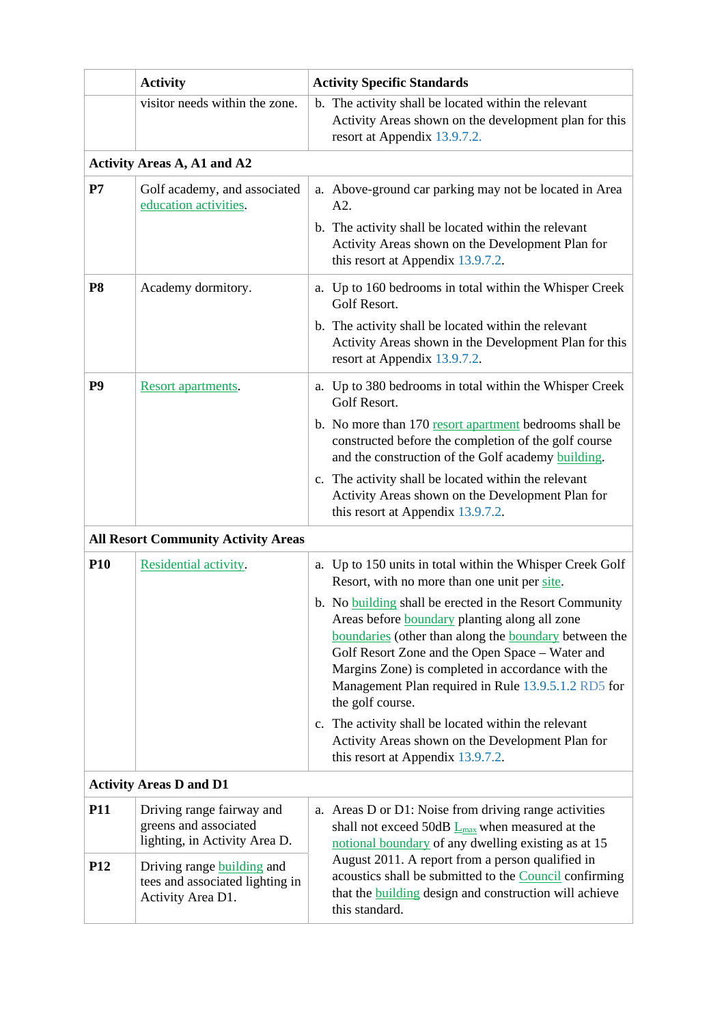|                | <b>Activity</b>                                                                           | <b>Activity Specific Standards</b>                                                                                                                                                                                                                                                                                                                   |  |
|----------------|-------------------------------------------------------------------------------------------|------------------------------------------------------------------------------------------------------------------------------------------------------------------------------------------------------------------------------------------------------------------------------------------------------------------------------------------------------|--|
|                | visitor needs within the zone.                                                            | b. The activity shall be located within the relevant<br>Activity Areas shown on the development plan for this<br>resort at Appendix 13.9.7.2.                                                                                                                                                                                                        |  |
|                | <b>Activity Areas A, A1 and A2</b>                                                        |                                                                                                                                                                                                                                                                                                                                                      |  |
| P7             | Golf academy, and associated<br>education activities.                                     | a. Above-ground car parking may not be located in Area<br>A2.                                                                                                                                                                                                                                                                                        |  |
|                |                                                                                           | b. The activity shall be located within the relevant<br>Activity Areas shown on the Development Plan for<br>this resort at Appendix 13.9.7.2.                                                                                                                                                                                                        |  |
| P <sub>8</sub> | Academy dormitory.                                                                        | a. Up to 160 bedrooms in total within the Whisper Creek<br>Golf Resort.                                                                                                                                                                                                                                                                              |  |
|                |                                                                                           | b. The activity shall be located within the relevant<br>Activity Areas shown in the Development Plan for this<br>resort at Appendix 13.9.7.2.                                                                                                                                                                                                        |  |
| P <sub>9</sub> | Resort apartments.                                                                        | a. Up to 380 bedrooms in total within the Whisper Creek<br>Golf Resort.                                                                                                                                                                                                                                                                              |  |
|                |                                                                                           | b. No more than 170 resort apartment bedrooms shall be<br>constructed before the completion of the golf course<br>and the construction of the Golf academy building.                                                                                                                                                                                 |  |
|                |                                                                                           | c. The activity shall be located within the relevant<br>Activity Areas shown on the Development Plan for<br>this resort at Appendix 13.9.7.2.                                                                                                                                                                                                        |  |
|                | <b>All Resort Community Activity Areas</b>                                                |                                                                                                                                                                                                                                                                                                                                                      |  |
| <b>P10</b>     | Residential activity.                                                                     | a. Up to 150 units in total within the Whisper Creek Golf<br>Resort, with no more than one unit per site.                                                                                                                                                                                                                                            |  |
|                |                                                                                           | b. No building shall be erected in the Resort Community<br>Areas before boundary planting along all zone<br>boundaries (other than along the boundary between the<br>Golf Resort Zone and the Open Space - Water and<br>Margins Zone) is completed in accordance with the<br>Management Plan required in Rule 13.9.5.1.2 RD5 for<br>the golf course. |  |
|                |                                                                                           | c. The activity shall be located within the relevant<br>Activity Areas shown on the Development Plan for<br>this resort at Appendix 13.9.7.2.                                                                                                                                                                                                        |  |
|                | <b>Activity Areas D and D1</b>                                                            |                                                                                                                                                                                                                                                                                                                                                      |  |
| <b>P11</b>     | Driving range fairway and<br>greens and associated<br>lighting, in Activity Area D.       | a. Areas D or D1: Noise from driving range activities<br>shall not exceed 50dB $L_{\text{max}}$ when measured at the<br>notional boundary of any dwelling existing as at 15                                                                                                                                                                          |  |
| <b>P12</b>     | Driving range <b>building</b> and<br>tees and associated lighting in<br>Activity Area D1. | August 2011. A report from a person qualified in<br>acoustics shall be submitted to the Council confirming<br>that the <b>building</b> design and construction will achieve<br>this standard.                                                                                                                                                        |  |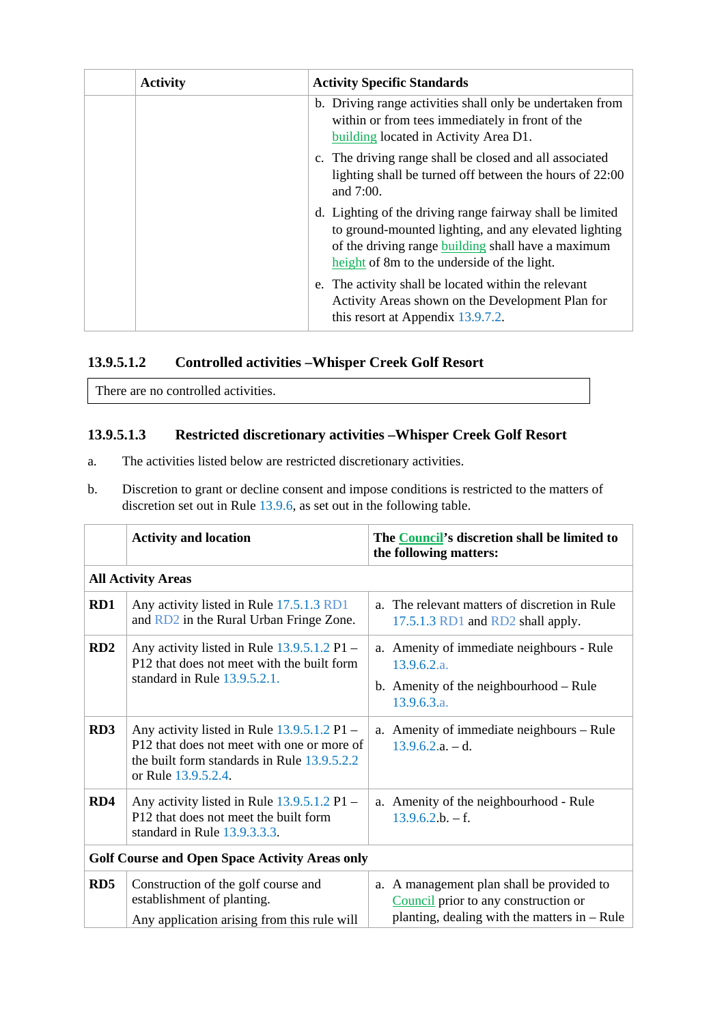| <b>Activity</b> | <b>Activity Specific Standards</b>                                                                                                                                                                                      |
|-----------------|-------------------------------------------------------------------------------------------------------------------------------------------------------------------------------------------------------------------------|
|                 | b. Driving range activities shall only be undertaken from<br>within or from tees immediately in front of the<br>building located in Activity Area D1.                                                                   |
|                 | c. The driving range shall be closed and all associated<br>lighting shall be turned off between the hours of 22:00<br>and 7:00.                                                                                         |
|                 | d. Lighting of the driving range fairway shall be limited<br>to ground-mounted lighting, and any elevated lighting<br>of the driving range building shall have a maximum<br>height of 8m to the underside of the light. |
|                 | e. The activity shall be located within the relevant<br>Activity Areas shown on the Development Plan for<br>this resort at Appendix 13.9.7.2.                                                                           |

### **13.9.5.1.2 Controlled activities –Whisper Creek Golf Resort**

There are no controlled activities.

### **13.9.5.1.3 Restricted discretionary activities –Whisper Creek Golf Resort**

- a. The activities listed below are restricted discretionary activities.
- b. Discretion to grant or decline consent and impose conditions is restricted to the matters of discretion set out in Rule 13.9.6, as set out in the following table.

|                                                       | <b>Activity and location</b>                                                                                                                                      | The Council's discretion shall be limited to<br>the following matters:                                                              |
|-------------------------------------------------------|-------------------------------------------------------------------------------------------------------------------------------------------------------------------|-------------------------------------------------------------------------------------------------------------------------------------|
|                                                       | <b>All Activity Areas</b>                                                                                                                                         |                                                                                                                                     |
| RD1                                                   | Any activity listed in Rule 17.5.1.3 RD1<br>and RD2 in the Rural Urban Fringe Zone.                                                                               | a. The relevant matters of discretion in Rule<br>17.5.1.3 RD1 and RD2 shall apply.                                                  |
| RD2                                                   | Any activity listed in Rule 13.9.5.1.2 P1 -<br>P12 that does not meet with the built form<br>standard in Rule 13.9.5.2.1.                                         | Amenity of immediate neighbours - Rule<br>a.<br>13.9.6.2.a.<br>b. Amenity of the neighbourhood $-$ Rule<br>13.9.6.3.a.              |
| RD <sub>3</sub>                                       | Any activity listed in Rule $13.9.5.1.2$ P1 –<br>P12 that does not meet with one or more of<br>the built form standards in Rule 13.9.5.2.2<br>or Rule 13.9.5.2.4. | a. Amenity of immediate neighbours – Rule<br>$13.9.6.2.a. - d.$                                                                     |
| RD4                                                   | Any activity listed in Rule $13.9.5.1.2$ P1 –<br>P12 that does not meet the built form<br>standard in Rule 13.9.3.3.3.                                            | a. Amenity of the neighbourhood - Rule<br>$13.9.6.2.b. - f.$                                                                        |
| <b>Golf Course and Open Space Activity Areas only</b> |                                                                                                                                                                   |                                                                                                                                     |
| RD <sub>5</sub>                                       | Construction of the golf course and<br>establishment of planting.<br>Any application arising from this rule will                                                  | a. A management plan shall be provided to<br>Council prior to any construction or<br>planting, dealing with the matters in $-$ Rule |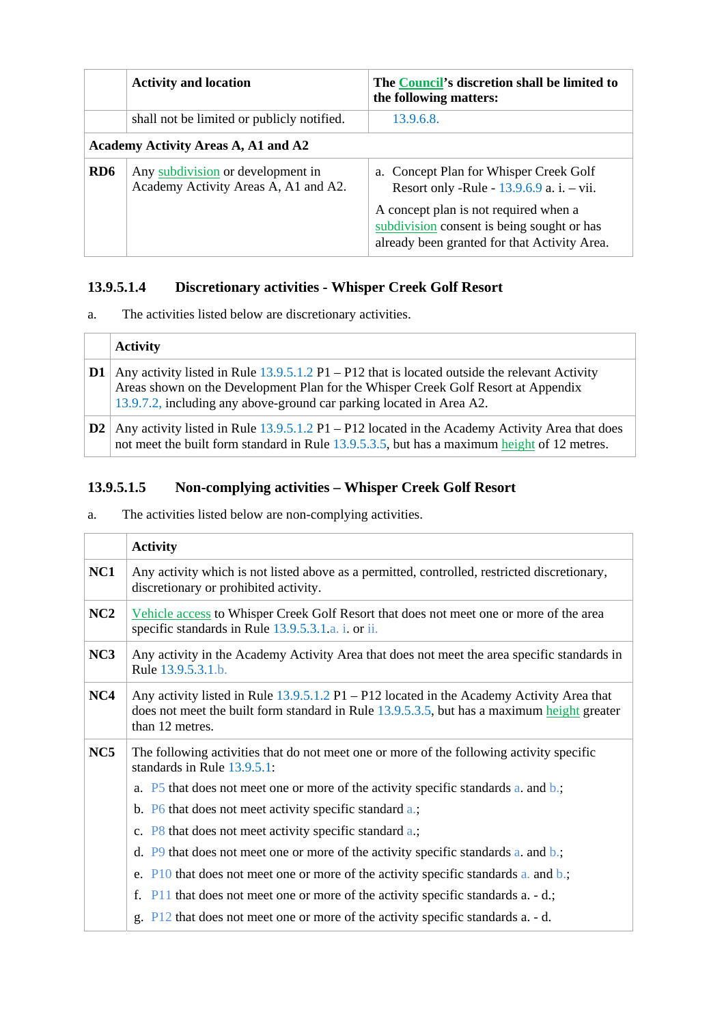|                 | <b>Activity and location</b>                                              | The Council's discretion shall be limited to<br>the following matters:                                                              |
|-----------------|---------------------------------------------------------------------------|-------------------------------------------------------------------------------------------------------------------------------------|
|                 | shall not be limited or publicly notified.                                | 13.9.6.8.                                                                                                                           |
|                 | Academy Activity Areas A, A1 and A2                                       |                                                                                                                                     |
| RD <sub>6</sub> | Any subdivision or development in<br>Academy Activity Areas A, A1 and A2. | a. Concept Plan for Whisper Creek Golf<br>Resort only -Rule - $13.9.6.9$ a. i. - vii.                                               |
|                 |                                                                           | A concept plan is not required when a<br>subdivision consent is being sought or has<br>already been granted for that Activity Area. |

### **13.9.5.1.4 Discretionary activities - Whisper Creek Golf Resort**

a. The activities listed below are discretionary activities.

|        | <b>Activity</b>                                                                                                                                                                                                                                              |
|--------|--------------------------------------------------------------------------------------------------------------------------------------------------------------------------------------------------------------------------------------------------------------|
| . D1 ' | Any activity listed in Rule $13.9.5.1.2$ P1 – P12 that is located outside the relevant Activity<br>Areas shown on the Development Plan for the Whisper Creek Golf Resort at Appendix<br>13.9.7.2, including any above-ground car parking located in Area A2. |
| D2     | Any activity listed in Rule $13.9.5.1.2$ P1 – P12 located in the Academy Activity Area that does<br>not meet the built form standard in Rule 13.9.5.3.5, but has a maximum height of 12 metres.                                                              |

### **13.9.5.1.5 Non-complying activities – Whisper Creek Golf Resort**

a. The activities listed below are non-complying activities.

|     | <b>Activity</b>                                                                                                                                                                                              |  |
|-----|--------------------------------------------------------------------------------------------------------------------------------------------------------------------------------------------------------------|--|
| NC1 | Any activity which is not listed above as a permitted, controlled, restricted discretionary,<br>discretionary or prohibited activity.                                                                        |  |
| NC2 | Vehicle access to Whisper Creek Golf Resort that does not meet one or more of the area<br>specific standards in Rule 13.9.5.3.1.a. i. or ii.                                                                 |  |
| NC3 | Any activity in the Academy Activity Area that does not meet the area specific standards in<br>Rule 13.9.5.3.1.b.                                                                                            |  |
| NC4 | Any activity listed in Rule $13.9.5.1.2$ P1 – P12 located in the Academy Activity Area that<br>does not meet the built form standard in Rule 13.9.5.3.5, but has a maximum height greater<br>than 12 metres. |  |
| NC5 | The following activities that do not meet one or more of the following activity specific<br>standards in Rule 13.9.5.1:                                                                                      |  |
|     | a. P5 that does not meet one or more of the activity specific standards a, and b.;                                                                                                                           |  |
|     | b. P6 that does not meet activity specific standard a.;                                                                                                                                                      |  |
|     | c. $P8$ that does not meet activity specific standard a.;                                                                                                                                                    |  |
|     | d. $P9$ that does not meet one or more of the activity specific standards a. and b.;                                                                                                                         |  |
|     | e. $P10$ that does not meet one or more of the activity specific standards a. and b.;                                                                                                                        |  |
|     | f. $P11$ that does not meet one or more of the activity specific standards a. - d.;                                                                                                                          |  |
|     | g. $P12$ that does not meet one or more of the activity specific standards a. - d.                                                                                                                           |  |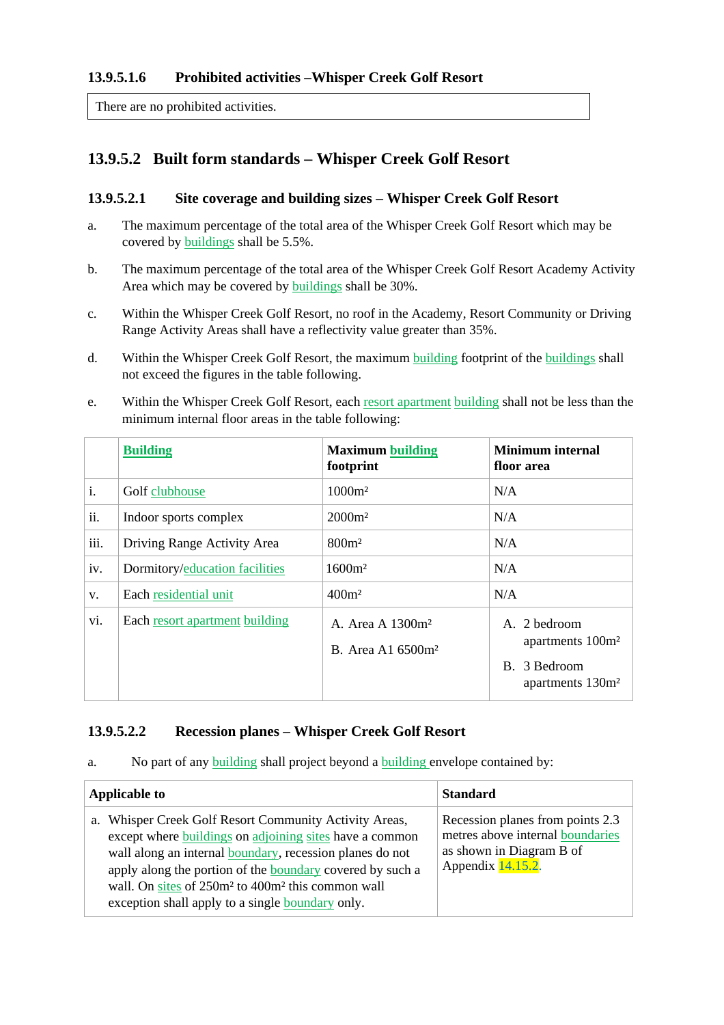#### **13.9.5.1.6 Prohibited activities –Whisper Creek Golf Resort**

There are no prohibited activities.

### **13.9.5.2 Built form standards – Whisper Creek Golf Resort**

#### **13.9.5.2.1 Site coverage and building sizes – Whisper Creek Golf Resort**

- a. The maximum percentage of the total area of the Whisper Creek Golf Resort which may be covered by buildings shall be 5.5%.
- b. The maximum percentage of the total area of the Whisper Creek Golf Resort Academy Activity Area which may be covered by buildings shall be 30%.
- c. Within the Whisper Creek Golf Resort, no roof in the Academy, Resort Community or Driving Range Activity Areas shall have a reflectivity value greater than 35%.
- d. Within the Whisper Creek Golf Resort, the maximum building footprint of the buildings shall not exceed the figures in the table following.
- e. Within the Whisper Creek Golf Resort, each resort apartment building shall not be less than the minimum internal floor areas in the table following:

|      | <b>Building</b>                | <b>Maximum building</b><br>footprint                          | <b>Minimum</b> internal<br>floor area                                                        |
|------|--------------------------------|---------------------------------------------------------------|----------------------------------------------------------------------------------------------|
| i.   | Golf clubhouse                 | $1000m^2$                                                     | N/A                                                                                          |
| ii.  | Indoor sports complex          | $2000m^2$                                                     | N/A                                                                                          |
| iii. | Driving Range Activity Area    | $800m$ <sup>2</sup>                                           | N/A                                                                                          |
| iv.  | Dormitory/education facilities | 1600m <sup>2</sup>                                            | N/A                                                                                          |
| V.   | Each residential unit          | $400m$ <sup>2</sup>                                           | N/A                                                                                          |
| vi.  | Each resort apartment building | A. Area A 1300m <sup>2</sup><br>B. Area A1 6500m <sup>2</sup> | A. 2 bedroom<br>apartments 100m <sup>2</sup><br>B. 3 Bedroom<br>apartments 130m <sup>2</sup> |

#### **13.9.5.2.2 Recession planes – Whisper Creek Golf Resort**

a. No part of any building shall project beyond a building envelope contained by:

| <b>Applicable to</b>                                                                                                                                                                                                                                                                                                                                                        | <b>Standard</b>                                                                                                       |
|-----------------------------------------------------------------------------------------------------------------------------------------------------------------------------------------------------------------------------------------------------------------------------------------------------------------------------------------------------------------------------|-----------------------------------------------------------------------------------------------------------------------|
| a. Whisper Creek Golf Resort Community Activity Areas,<br>except where buildings on adjoining sites have a common<br>wall along an internal boundary, recession planes do not<br>apply along the portion of the boundary covered by such a<br>wall. On sites of 250m <sup>2</sup> to 400m <sup>2</sup> this common wall<br>exception shall apply to a single boundary only. | Recession planes from points 2.3<br>metres above internal boundaries<br>as shown in Diagram B of<br>Appendix 14.15.2. |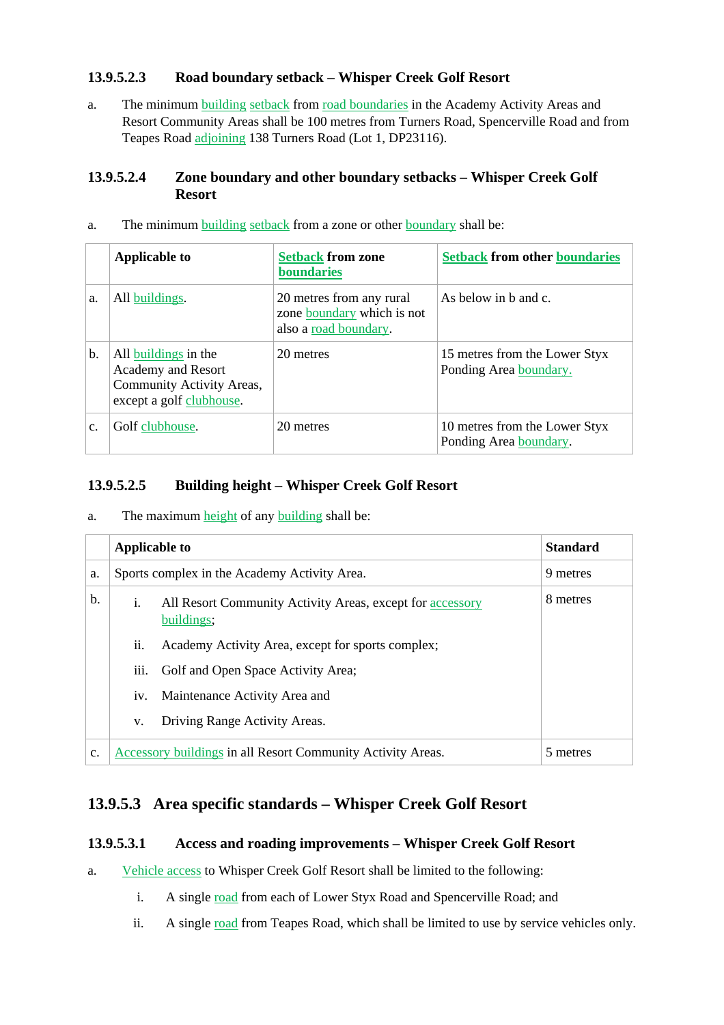#### **13.9.5.2.3 Road boundary setback – Whisper Creek Golf Resort**

a. The minimum **building setback** from road boundaries in the Academy Activity Areas and Resort Community Areas shall be 100 metres from Turners Road, Spencerville Road and from Teapes Road adjoining 138 Turners Road (Lot 1, DP23116).

#### **13.9.5.2.4 Zone boundary and other boundary setbacks – Whisper Creek Golf Resort**

|    | <b>Applicable to</b>                                                                                       | <b>Setback from zone</b><br>boundaries                                          | <b>Setback from other boundaries</b>                    |
|----|------------------------------------------------------------------------------------------------------------|---------------------------------------------------------------------------------|---------------------------------------------------------|
| a. | All buildings.                                                                                             | 20 metres from any rural<br>zone boundary which is not<br>also a road boundary. | As below in $b$ and $c$ .                               |
| b. | All buildings in the<br><b>Academy and Resort</b><br>Community Activity Areas,<br>except a golf clubhouse. | 20 metres                                                                       | 15 metres from the Lower Styx<br>Ponding Area boundary. |
| c. | Golf clubhouse.                                                                                            | 20 metres                                                                       | 10 metres from the Lower Styx<br>Ponding Area boundary. |

a. The minimum building setback from a zone or other boundary shall be:

#### **13.9.5.2.5 Building height – Whisper Creek Golf Resort**

a. The maximum height of any building shall be:

|    | <b>Applicable to</b>                                        |                                                                         | <b>Standard</b> |
|----|-------------------------------------------------------------|-------------------------------------------------------------------------|-----------------|
| a. | Sports complex in the Academy Activity Area.                |                                                                         | 9 metres        |
| b. | i.                                                          | All Resort Community Activity Areas, except for accessory<br>buildings; | 8 metres        |
|    | ii.                                                         | Academy Activity Area, except for sports complex;                       |                 |
|    | iii.                                                        | Golf and Open Space Activity Area;                                      |                 |
|    | iv.                                                         | Maintenance Activity Area and                                           |                 |
|    | V.                                                          | Driving Range Activity Areas.                                           |                 |
| c. | Accessory buildings in all Resort Community Activity Areas. |                                                                         | 5 metres        |

### **13.9.5.3 Area specific standards – Whisper Creek Golf Resort**

#### **13.9.5.3.1 Access and roading improvements – Whisper Creek Golf Resort**

- a. Vehicle access to Whisper Creek Golf Resort shall be limited to the following:
	- i. A single road from each of Lower Styx Road and Spencerville Road; and
	- ii. A single road from Teapes Road, which shall be limited to use by service vehicles only.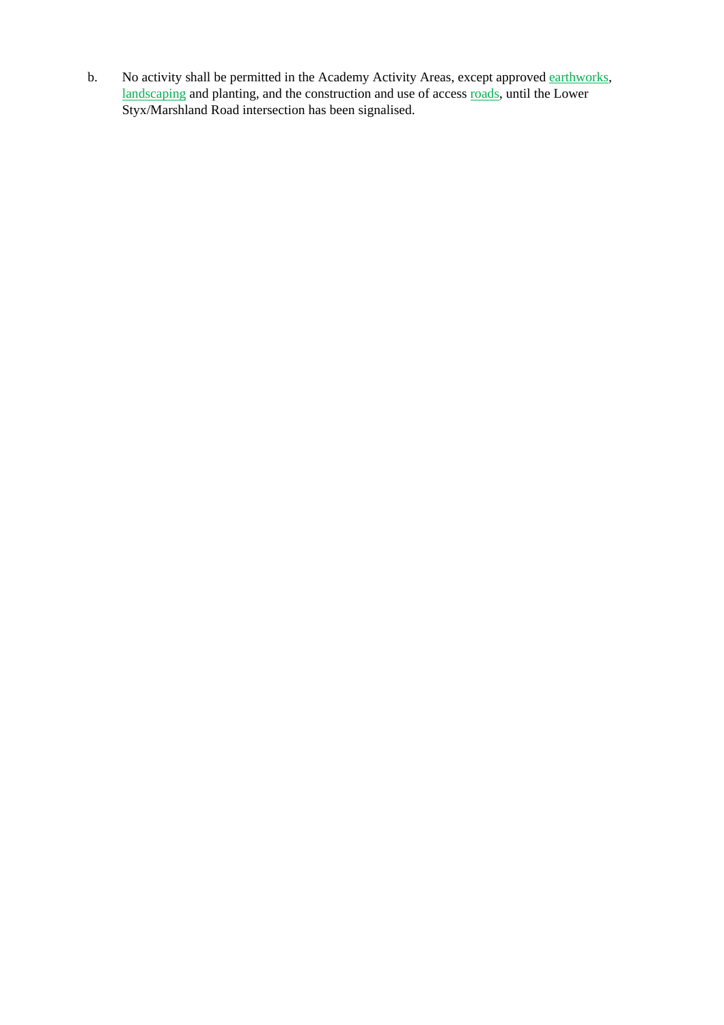b. No activity shall be permitted in the Academy Activity Areas, except approved earthworks, landscaping and planting, and the construction and use of access <u>roads</u>, until the Lower Styx/Marshland Road intersection has been signalised.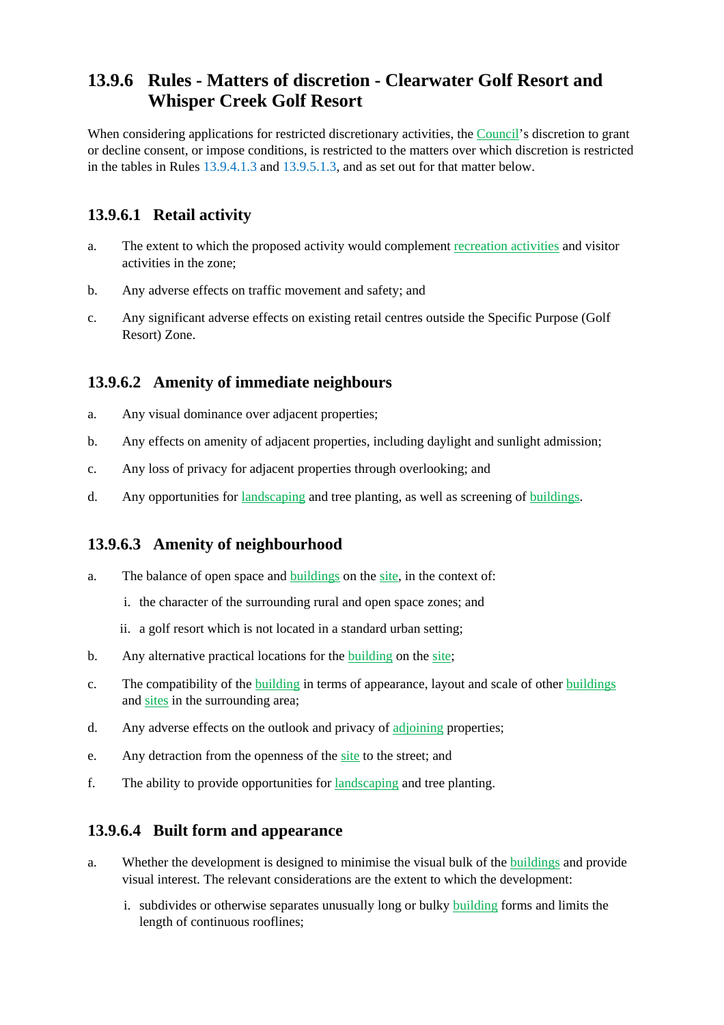## **13.9.6 Rules - Matters of discretion - Clearwater Golf Resort and Whisper Creek Golf Resort**

When considering applications for restricted discretionary activities, the Council's discretion to grant or decline consent, or impose conditions, is restricted to the matters over which discretion is restricted in the tables in Rules 13.9.4.1.3 and 13.9.5.1.3, and as set out for that matter below.

### **13.9.6.1 Retail activity**

- a. The extent to which the proposed activity would complement recreation activities and visitor activities in the zone;
- b. Any adverse effects on traffic movement and safety; and
- c. Any significant adverse effects on existing retail centres outside the Specific Purpose (Golf Resort) Zone.

### **13.9.6.2 Amenity of immediate neighbours**

- a. Any visual dominance over adjacent properties;
- b. Any effects on amenity of adjacent properties, including daylight and sunlight admission;
- c. Any loss of privacy for adjacent properties through overlooking; and
- d. Any opportunities for landscaping and tree planting, as well as screening of buildings.

### **13.9.6.3 Amenity of neighbourhood**

- a. The balance of open space and buildings on the site, in the context of:
	- i. the character of the surrounding rural and open space zones; and
	- ii. a golf resort which is not located in a standard urban setting;
- b. Any alternative practical locations for the **building** on the site;
- c. The compatibility of the building in terms of appearance, layout and scale of other buildings and sites in the surrounding area;
- d. Any adverse effects on the outlook and privacy of adjoining properties;
- e. Any detraction from the openness of the site to the street; and
- f. The ability to provide opportunities for landscaping and tree planting.

#### **13.9.6.4 Built form and appearance**

- a. Whether the development is designed to minimise the visual bulk of the buildings and provide visual interest. The relevant considerations are the extent to which the development:
	- i. subdivides or otherwise separates unusually long or bulky building forms and limits the length of continuous rooflines;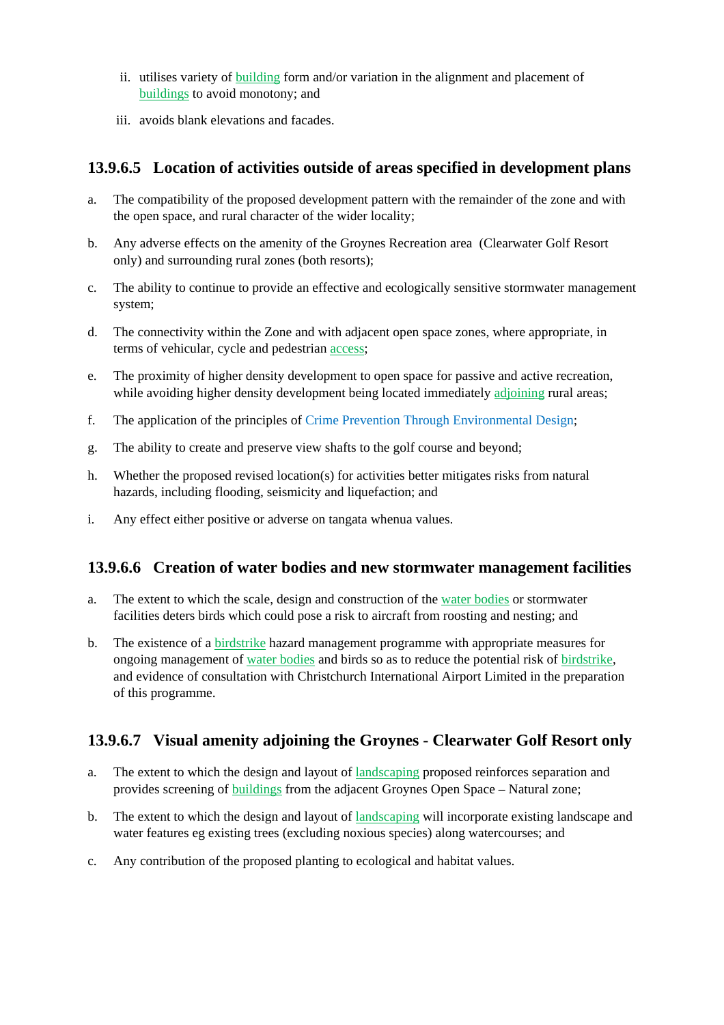- ii. utilises variety of building form and/or variation in the alignment and placement of buildings to avoid monotony; and
- iii. avoids blank elevations and facades.

### **13.9.6.5 Location of activities outside of areas specified in development plans**

- a. The compatibility of the proposed development pattern with the remainder of the zone and with the open space, and rural character of the wider locality;
- b. Any adverse effects on the amenity of the Groynes Recreation area (Clearwater Golf Resort only) and surrounding rural zones (both resorts);
- c. The ability to continue to provide an effective and ecologically sensitive stormwater management system;
- d. The connectivity within the Zone and with adjacent open space zones, where appropriate, in terms of vehicular, cycle and pedestrian access;
- e. The proximity of higher density development to open space for passive and active recreation, while avoiding higher density development being located immediately adjoining rural areas;
- f. The application of the principles of Crime Prevention Through Environmental Design;
- g. The ability to create and preserve view shafts to the golf course and beyond;
- h. Whether the proposed revised location(s) for activities better mitigates risks from natural hazards, including flooding, seismicity and liquefaction; and
- i. Any effect either positive or adverse on tangata whenua values.

### **13.9.6.6 Creation of water bodies and new stormwater management facilities**

- a. The extent to which the scale, design and construction of the water bodies or stormwater facilities deters birds which could pose a risk to aircraft from roosting and nesting; and
- b. The existence of a birdstrike hazard management programme with appropriate measures for ongoing management of water bodies and birds so as to reduce the potential risk of birdstrike, and evidence of consultation with Christchurch International Airport Limited in the preparation of this programme.

### **13.9.6.7 Visual amenity adjoining the Groynes - Clearwater Golf Resort only**

- a. The extent to which the design and layout of landscaping proposed reinforces separation and provides screening of buildings from the adjacent Groynes Open Space – Natural zone;
- b. The extent to which the design and layout of landscaping will incorporate existing landscape and water features eg existing trees (excluding noxious species) along watercourses; and
- c. Any contribution of the proposed planting to ecological and habitat values.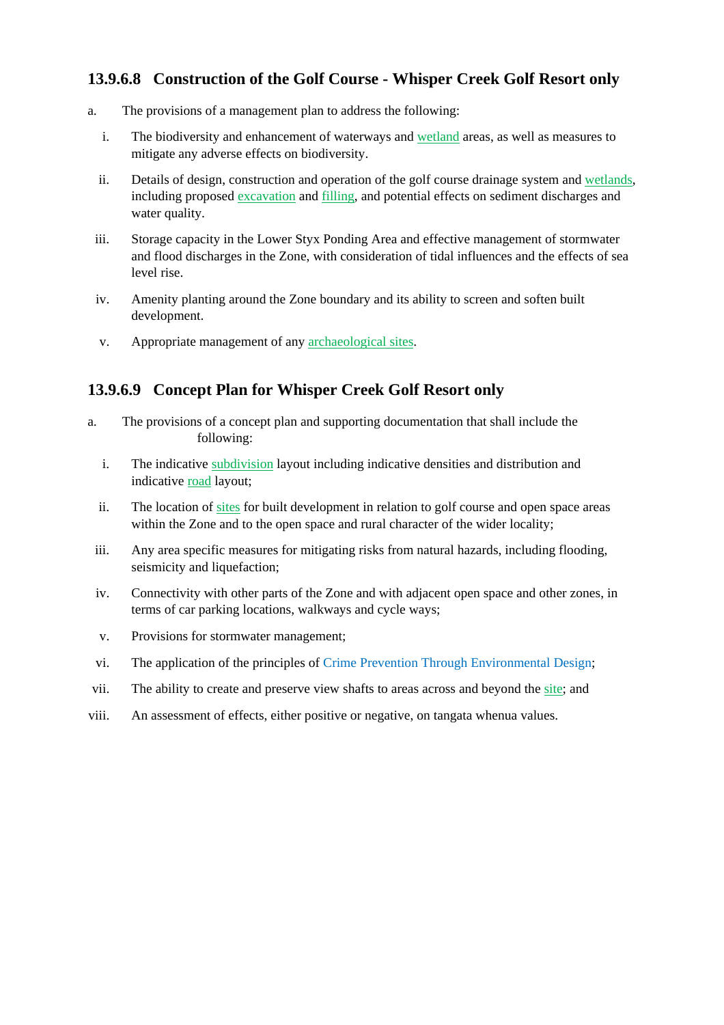### **13.9.6.8 Construction of the Golf Course - Whisper Creek Golf Resort only**

- a. The provisions of a management plan to address the following:
	- i. The biodiversity and enhancement of waterways and wetland areas, as well as measures to mitigate any adverse effects on biodiversity.
	- ii. Details of design, construction and operation of the golf course drainage system and wetlands, including proposed excavation and filling, and potential effects on sediment discharges and water quality.
	- iii. Storage capacity in the Lower Styx Ponding Area and effective management of stormwater and flood discharges in the Zone, with consideration of tidal influences and the effects of sea level rise.
	- iv. Amenity planting around the Zone boundary and its ability to screen and soften built development.
	- v. Appropriate management of any archaeological sites.

### **13.9.6.9 Concept Plan for Whisper Creek Golf Resort only**

- a. The provisions of a concept plan and supporting documentation that shall include the following:
	- i. The indicative subdivision layout including indicative densities and distribution and indicative road layout;
	- ii. The location of sites for built development in relation to golf course and open space areas within the Zone and to the open space and rural character of the wider locality;
	- iii. Any area specific measures for mitigating risks from natural hazards, including flooding, seismicity and liquefaction;
	- iv. Connectivity with other parts of the Zone and with adjacent open space and other zones, in terms of car parking locations, walkways and cycle ways;
	- v. Provisions for stormwater management;
- vi. The application of the principles of Crime Prevention Through Environmental Design;
- vii. The ability to create and preserve view shafts to areas across and beyond the site; and
- viii. An assessment of effects, either positive or negative, on tangata whenua values.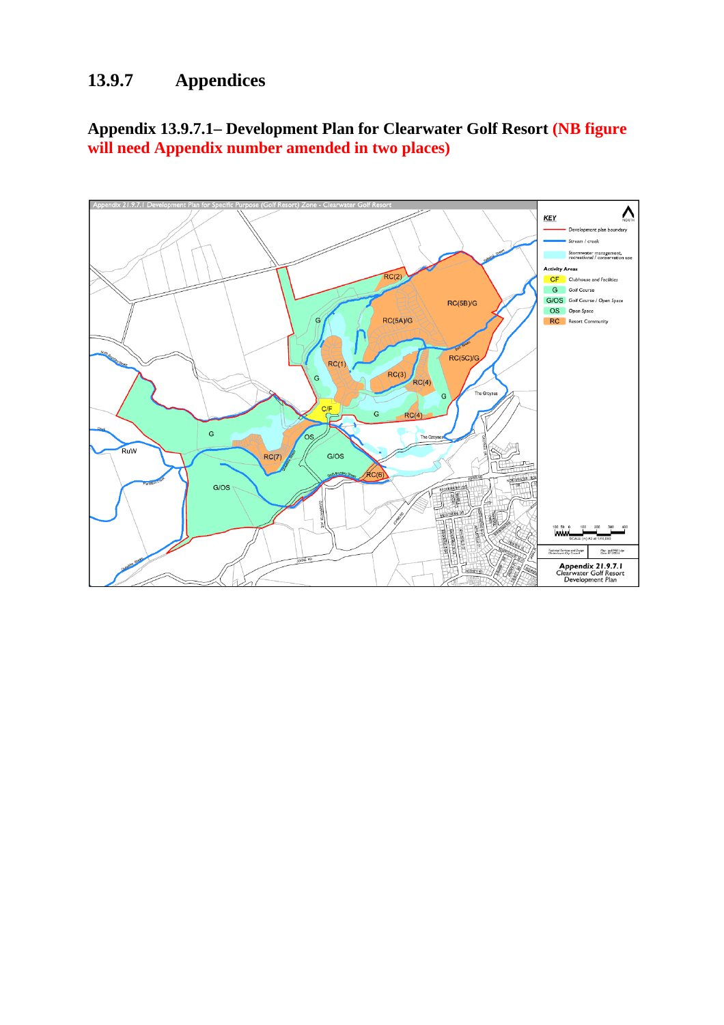# **13.9.7 Appendices**

**Appendix 13.9.7.1– Development Plan for Clearwater Golf Resort (NB figure will need Appendix number amended in two places)**